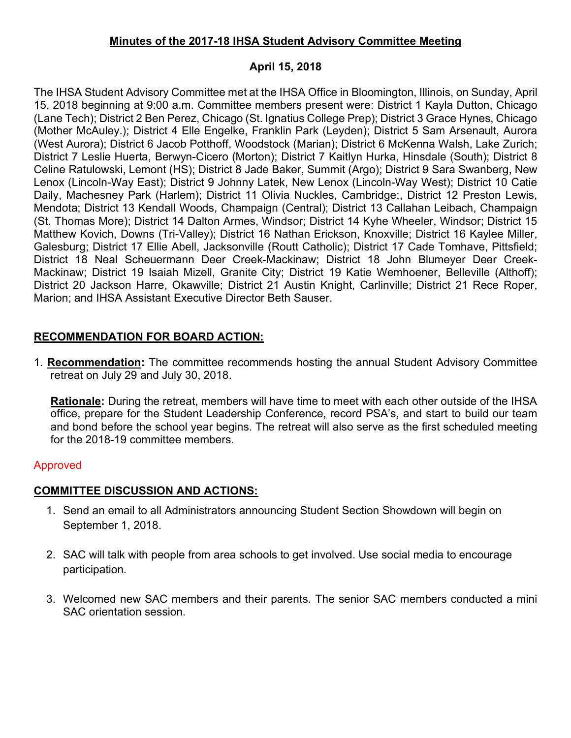### **Minutes of the 2017-18 IHSA Student Advisory Committee Meeting**

### **April 15, 2018**

The IHSA Student Advisory Committee met at the IHSA Office in Bloomington, Illinois, on Sunday, April 15, 2018 beginning at 9:00 a.m. Committee members present were: District 1 Kayla Dutton, Chicago (Lane Tech); District 2 Ben Perez, Chicago (St. Ignatius College Prep); District 3 Grace Hynes, Chicago (Mother McAuley.); District 4 Elle Engelke, Franklin Park (Leyden); District 5 Sam Arsenault, Aurora (West Aurora); District 6 Jacob Potthoff, Woodstock (Marian); District 6 McKenna Walsh, Lake Zurich; District 7 Leslie Huerta, Berwyn-Cicero (Morton); District 7 Kaitlyn Hurka, Hinsdale (South); District 8 Celine Ratulowski, Lemont (HS); District 8 Jade Baker, Summit (Argo); District 9 Sara Swanberg, New Lenox (Lincoln-Way East); District 9 Johnny Latek, New Lenox (Lincoln-Way West); District 10 Catie Daily, Machesney Park (Harlem); District 11 Olivia Nuckles, Cambridge;, District 12 Preston Lewis, Mendota; District 13 Kendall Woods, Champaign (Central); District 13 Callahan Leibach, Champaign (St. Thomas More); District 14 Dalton Armes, Windsor; District 14 Kyhe Wheeler, Windsor; District 15 Matthew Kovich, Downs (Tri-Valley); District 16 Nathan Erickson, Knoxville; District 16 Kaylee Miller, Galesburg; District 17 Ellie Abell, Jacksonville (Routt Catholic); District 17 Cade Tomhave, Pittsfield; District 18 Neal Scheuermann Deer Creek-Mackinaw; District 18 John Blumeyer Deer Creek-Mackinaw; District 19 Isaiah Mizell, Granite City; District 19 Katie Wemhoener, Belleville (Althoff); District 20 Jackson Harre, Okawville; District 21 Austin Knight, Carlinville; District 21 Rece Roper, Marion; and IHSA Assistant Executive Director Beth Sauser.

# **RECOMMENDATION FOR BOARD ACTION:**

1. **Recommendation:** The committee recommends hosting the annual Student Advisory Committee retreat on July 29 and July 30, 2018.

**Rationale:** During the retreat, members will have time to meet with each other outside of the IHSA office, prepare for the Student Leadership Conference, record PSA's, and start to build our team and bond before the school year begins. The retreat will also serve as the first scheduled meeting for the 2018-19 committee members.

## Approved

## **COMMITTEE DISCUSSION AND ACTIONS:**

- 1. Send an email to all Administrators announcing Student Section Showdown will begin on September 1, 2018.
- 2. SAC will talk with people from area schools to get involved. Use social media to encourage participation.
- 3. Welcomed new SAC members and their parents. The senior SAC members conducted a mini SAC orientation session.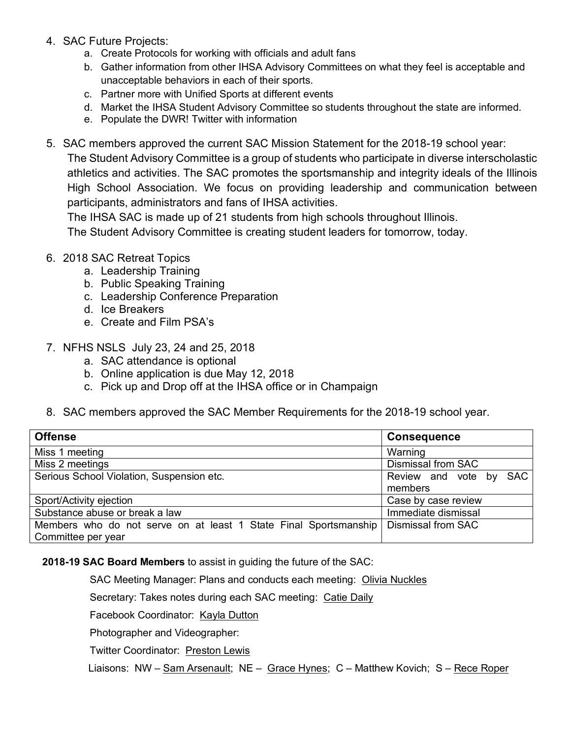- 4. SAC Future Projects:
	- a. Create Protocols for working with officials and adult fans
	- b. Gather information from other IHSA Advisory Committees on what they feel is acceptable and unacceptable behaviors in each of their sports.
	- c. Partner more with Unified Sports at different events
	- d. Market the IHSA Student Advisory Committee so students throughout the state are informed.
	- e. Populate the DWR! Twitter with information
- 5. SAC members approved the current SAC Mission Statement for the 2018-19 school year: The Student Advisory Committee is a group of students who participate in diverse interscholastic athletics and activities. The SAC promotes the sportsmanship and integrity ideals of the Illinois High School Association. We focus on providing leadership and communication between participants, administrators and fans of IHSA activities.

The IHSA SAC is made up of 21 students from high schools throughout Illinois.

The Student Advisory Committee is creating student leaders for tomorrow, today.

- 6. 2018 SAC Retreat Topics
	- a. Leadership Training
	- b. Public Speaking Training
	- c. Leadership Conference Preparation
	- d. Ice Breakers
	- e. Create and Film PSA's
- 7. NFHS NSLS July 23, 24 and 25, 2018
	- a. SAC attendance is optional
	- b. Online application is due May 12, 2018
	- c. Pick up and Drop off at the IHSA office or in Champaign
- 8. SAC members approved the SAC Member Requirements for the 2018-19 school year.

| <b>Offense</b>                                                   | <b>Consequence</b>        |
|------------------------------------------------------------------|---------------------------|
| Miss 1 meeting                                                   | Warning                   |
| Miss 2 meetings                                                  | <b>Dismissal from SAC</b> |
| Serious School Violation, Suspension etc.                        | Review and vote by SAC    |
|                                                                  | members                   |
| Sport/Activity ejection                                          | Case by case review       |
| Substance abuse or break a law                                   | Immediate dismissal       |
| Members who do not serve on at least 1 State Final Sportsmanship | <b>Dismissal from SAC</b> |
| Committee per year                                               |                           |

**2018-19 SAC Board Members** to assist in guiding the future of the SAC:

SAC Meeting Manager: Plans and conducts each meeting: Olivia Nuckles

Secretary: Takes notes during each SAC meeting: Catie Daily

Facebook Coordinator: Kayla Dutton

Photographer and Videographer:

**Twitter Coordinator: Preston Lewis** 

Liaisons: NW – Sam Arsenault; NE – Grace Hynes; C – Matthew Kovich; S – Rece Roper